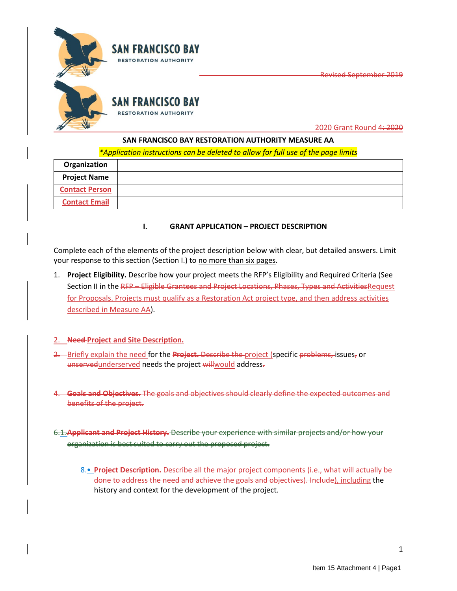

2020 Grant Round 4: 2020

Revised September 2019

## **SAN FRANCISCO BAY RESTORATION AUTHORITY MEASURE AA**

*\*Application instructions can be deleted to allow for full use of the page limits*

| Organization          |  |
|-----------------------|--|
| <b>Project Name</b>   |  |
| <b>Contact Person</b> |  |
| <b>Contact Email</b>  |  |

# **I. GRANT APPLICATION – PROJECT DESCRIPTION**

Complete each of the elements of the project description below with clear, but detailed answers. Limit your response to this section (Section I.) to no more than six pages.

1. **Project Eligibility.** Describe how your project meets the RFP's Eligibility and Required Criteria (See Section II in the RFP - Eligible Grantees and Project Locations, Phases, Types and Activities Request for Proposals. Projects must qualify as a Restoration Act project type, and then address activities described in Measure AA).

## 2. **Need Project and Site Description.**

- 2. Briefly explain the need for the **Project.** Describe the project (specific problems, issues, or unservedunderserved needs the project willwould address-
- 4. **Goals and Objectives.** The goals and objectives should clearly define the expected outcomes and benefits of the project.

6.1.**Applicant and Project History.** Describe your experience with similar projects and/or how your organization is best suited to carry out the proposed project.

8.• **Project Description.** Describe all the major project components (i.e., what will actually be done to address the need and achieve the goals and objectives). Include), including the history and context for the development of the project.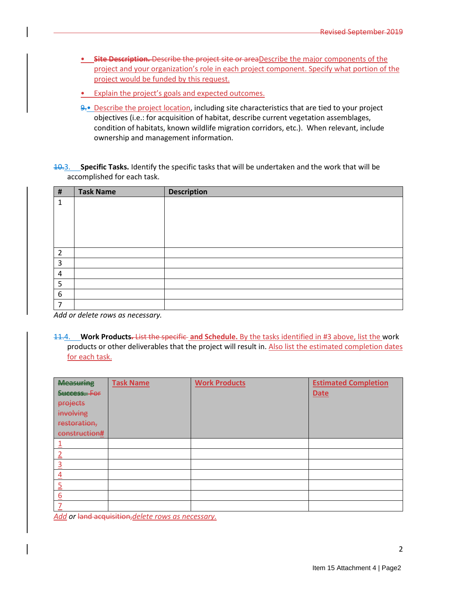- **Site Description.** Describe the project site or area Describe the major components of the project and your organization's role in each project component. Specify what portion of the project would be funded by this request.
- Explain the project's goals and expected outcomes.
- $9.$  Describe the project location, including site characteristics that are tied to your project objectives (i.e.: for acquisition of habitat, describe current vegetation assemblages, condition of habitats, known wildlife migration corridors, etc.). When relevant, include ownership and management information.

10.3. **Specific Tasks.** Identify the specific tasks that will be undertaken and the work that will be accomplished for each task.

| $\pmb{\sharp}$   | <b>Task Name</b> | <b>Description</b> |
|------------------|------------------|--------------------|
| 1                |                  |                    |
|                  |                  |                    |
|                  |                  |                    |
|                  |                  |                    |
|                  |                  |                    |
| $\overline{2}$   |                  |                    |
| 3                |                  |                    |
| $\overline{a}$   |                  |                    |
| 5                |                  |                    |
| $\boldsymbol{6}$ |                  |                    |
| 7                |                  |                    |

*Add or delete rows as necessary.* 

11.4. **Work Products.** List the specific **and Schedule.** By the tasks identified in #3 above, list the work products or other deliverables that the project will result in. Also list the estimated completion dates for each task.

| <b>Measuring</b>              | <b>Task Name</b> | <b>Work Products</b> | <b>Estimated Completion</b> |
|-------------------------------|------------------|----------------------|-----------------------------|
| Success. For                  |                  |                      | <b>Date</b>                 |
| projects                      |                  |                      |                             |
| involving                     |                  |                      |                             |
| restoration,                  |                  |                      |                             |
| construction#                 |                  |                      |                             |
| $\overline{\phantom{a}}$      |                  |                      |                             |
| ำ                             |                  |                      |                             |
| $\overline{3}$                |                  |                      |                             |
| $\overline{4}$                |                  |                      |                             |
| $\overline{5}$                |                  |                      |                             |
| 6<br>$\overline{\phantom{a}}$ |                  |                      |                             |
|                               |                  |                      |                             |

*Add or* land acquisition,*delete rows as necessary.*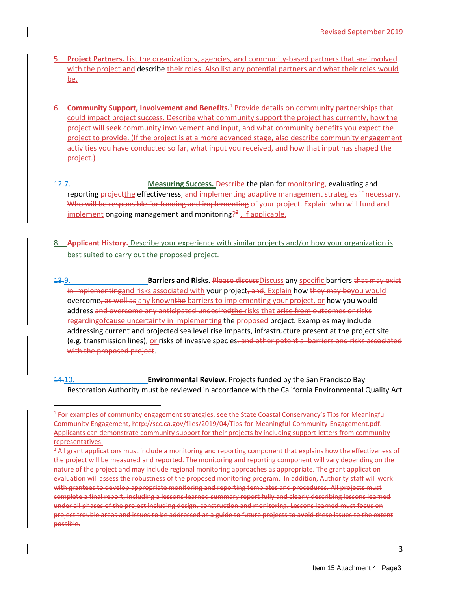- 5. **Project Partners.** List the organizations, agencies, and community-based partners that are involved with the project and describe their roles. Also list any potential partners and what their roles would be.
- 6. **Community Support, Involvement and Benefits.**<sup>1</sup> Provide details on community partnerships that could impact project success. Describe what community support the project has currently, how the project will seek community involvement and input, and what community benefits you expect the project to provide. (If the project is at a more advanced stage, also describe community engagement activities you have conducted so far, what input you received, and how that input has shaped the project.)
- 12.7. **Measuring Success.** Describe the plan for monitoring, evaluating and reporting project the effectiveness, and implementing adaptive management strategies if necessary. Who will be responsible for funding and implementing of your project. Explain who will fund and implement ongoing management and monitoring<sup>22</sup>-, if applicable.
- 8. **Applicant History.** Describe your experience with similar projects and/or how your organization is best suited to carry out the proposed project.
- 13.9. **Barriers and Risks.** Please discussDiscuss any specific barriers that may exist in implementingand risks associated with your project, and. Explain how they may beyou would overcome, as well as any knownthe barriers to implementing your project, or how you would address and overcome any anticipated undesiredthe risks that arise from outcomes or risks regarding of cause uncertainty in implementing the proposed project. Examples may include addressing current and projected sea level rise impacts, infrastructure present at the project site (e.g. transmission lines), or risks of invasive species, and other potential barriers and risks associated with the proposed project.

14.10. **Environmental Review**. Projects funded by the San Francisco Bay Restoration Authority must be reviewed in accordance with the California Environmental Quality Act

<sup>&</sup>lt;sup>1</sup> For examples of community engagement strategies, see the State Coastal Conservancy's Tips for Meaningful Community Engagement, [http://scc.ca.gov/files/2019/04/Tips-for-Meaningful-Community-Engagement.pdf.](http://scc.ca.gov/files/2019/04/Tips-for-Meaningful-Community-Engagement.pdf) Applicants can demonstrate community support for their projects by including support letters from community representatives.

<sup>&</sup>lt;sup>2</sup> All grant applications must include a monitoring and reporting component that explains how the effectiveness of the project will be measured and reported. The monitoring and reporting component will vary depending on the nature of the project and may include regional monitoring approaches as appropriate. The grant application evaluation will assess the robustness of the proposed monitoring program. In addition, Authority staff will work with grantees to develop appropriate monitoring and reporting templates and procedures. All projects must complete a final report, including a lessons-learned summary report fully and clearly describing lessons learned under all phases of the project including design, construction and monitoring. Lessons learned must focus on project trouble areas and issues to be addressed as a guide to future projects to avoid these issues to the extent possible.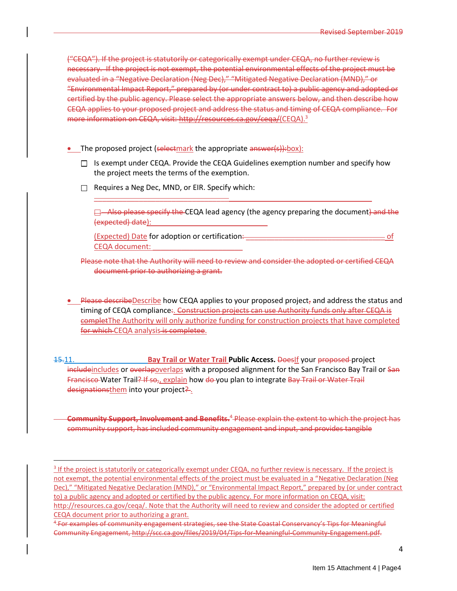("CEQA"). If the project is statutorily or categorically exempt under CEQA, no further review is necessary. If the project is not exempt, the potential environmental effects of the project must be evaluated in a "Negative Declaration (Neg Dec)," "Mitigated Negative Declaration (MND)," or "Environmental Impact Report," prepared by (or under contract to) a public agency and adopted or certified by the public agency. Please select the appropriate answers below, and then describe how CEQA applies to your proposed project and address the status and timing of CEQA compliance. For more information on CEQA, visit: http://resources.ca.gov/ceqa/(CEQA).<sup>3</sup>

- The proposed project (selectmark the appropriate answer(s)): box):
	- $\Box$  Is exempt under CEQA. Provide the CEQA Guidelines exemption number and specify how the project meets the terms of the exemption.

 $\overline{\phantom{a}}$  , and the contribution of the contribution of  $\overline{\phantom{a}}$  , and  $\overline{\phantom{a}}$  , and  $\overline{\phantom{a}}$  , and  $\overline{\phantom{a}}$  , and  $\overline{\phantom{a}}$  , and  $\overline{\phantom{a}}$  , and  $\overline{\phantom{a}}$  , and  $\overline{\phantom{a}}$  , and  $\overline{\phantom{a}}$  , and

 $\Box$  Requires a Neg Dec, MND, or EIR. Specify which:

 $\Box$  Also please specify the CEQA lead agency (the agency preparing the document) and the (expected) date):

(Expected) Date for adoption or certification: \_\_\_\_\_\_\_\_\_\_\_\_\_\_\_\_\_\_\_\_\_\_\_\_\_\_\_\_\_\_\_\_\_\_ of CEQA document: \_\_\_\_\_\_\_\_\_\_\_\_\_\_\_\_\_\_\_\_\_\_

Please note that the Authority will need to review and consider the adopted or certified CEQA document prior to authorizing a grant.

- Please describeDescribe how CEQA applies to your proposed project<sub>z</sub> and address the status and timing of CEQA compliance:. Construction projects can use Authority funds only after CEQA is completThe Authority will only authorize funding for construction projects that have completed for which CEQA analysis is completee.
- 15.11. **Bay Trail or Water Trail Public Access.** DoesIf your proposed project includeincludes or overlapoverlaps with a proposed alignment for the San Francisco Bay Trail or San Francisco-Water Trail? If so,, explain how do you plan to integrate Bay Trail or Water Trail designationsthem into your project?

**Community Support, Involvement and Benefits.** <sup>4</sup> Please explain the extent to which the project has community support, has included community engagement and input, and provides tangible

<sup>&</sup>lt;sup>3</sup> If the project is statutorily or categorically exempt under CEQA, no further review is necessary. If the project is not exempt, the potential environmental effects of the project must be evaluated in a "Negative Declaration (Neg Dec)," "Mitigated Negative Declaration (MND)," or "Environmental Impact Report," prepared by (or under contract to) a public agency and adopted or certified by the public agency. For more information on CEQA, visit: [http://resources.ca.gov/ceqa/.](http://resources.ca.gov/ceqa/) Note that the Authority will need to review and consider the adopted or certified

CEQA document prior to authorizing a grant.

<sup>4</sup> For examples of community engagement strategies, see the State Coastal Conservancy's Tips for Meaningful Community Engagement, http://scc.ca.gov/files/2019/04/Tips-for-Meaningful-Community-Engagement.pdf.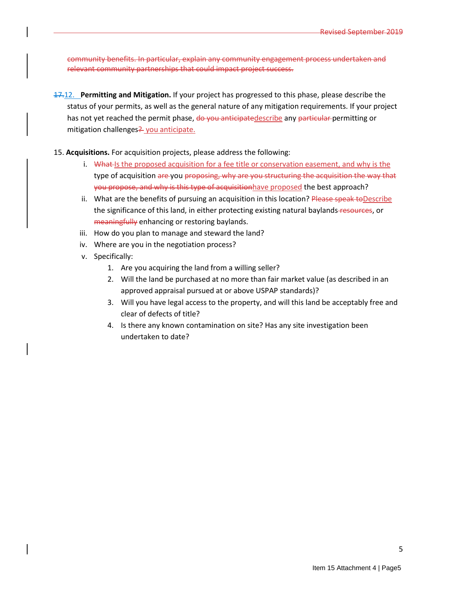community benefits. In particular, explain any community engagement process undertaken and relevant community partnerships that could impact project success.

17.12. **Permitting and Mitigation.** If your project has progressed to this phase, please describe the status of your permits, as well as the general nature of any mitigation requirements. If your project has not yet reached the permit phase, do you anticipatedescribe any particular permitting or mitigation challenges<sup>2</sup> you anticipate.

15. **Acquisitions.** For acquisition projects, please address the following:

- i. What Is the proposed acquisition for a fee title or conservation easement, and why is the type of acquisition are you proposing, why are you structuring the acquisition the way that you propose, and why is this type of acquisitionhave proposed the best approach?
- ii. What are the benefits of pursuing an acquisition in this location? Please speak to Describe the significance of this land, in either protecting existing natural baylands-resources, or meaningfully enhancing or restoring baylands.
- iii. How do you plan to manage and steward the land?
- iv. Where are you in the negotiation process?
- v. Specifically:
	- 1. Are you acquiring the land from a willing seller?
	- 2. Will the land be purchased at no more than fair market value (as described in an approved appraisal pursued at or above USPAP standards)?
	- 3. Will you have legal access to the property, and will this land be acceptably free and clear of defects of title?
	- 4. Is there any known contamination on site? Has any site investigation been undertaken to date?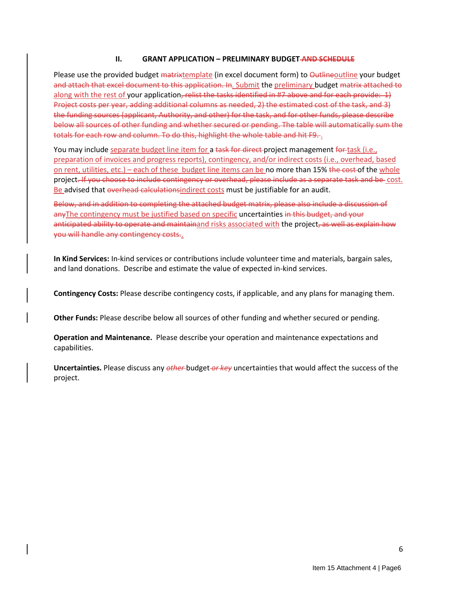#### **II. GRANT APPLICATION – PRELIMINARY BUDGET AND SCHEDULE**

Please use the provided budget matrixtemplate (in excel document form) to Outlineoutline your budget and attach that excel document to this application. In. Submit the preliminary budget matrix attached to along with the rest of your application, relist the tasks identified in #7 above and for each provide: 1) Project costs per year, adding additional columns as needed, 2) the estimated cost of the task, and 3) the funding sources (applicant, Authority, and other) for the task, and for other funds, please describe below all sources of other funding and whether secured or pending. The table will automatically sum the totals for each row and column. To do this, highlight the whole table and hit F9.

You may include separate budget line item for a task for direct-project management for task (i.e., preparation of invoices and progress reports), contingency, and/or indirect costs (i.e., overhead, based on rent, utilities, etc.) – each of these budget line items can be no more than 15% the cost of the whole project. If you choose to include contingency or overhead, please include as a separate task and be cost. Be advised that overhead calculationsindirect costs must be justifiable for an audit.

Below, and in addition to completing the attached budget matrix, please also include a discussion of anyThe contingency must be justified based on specific uncertainties in this budget, and your anticipated ability to operate and maintainand risks associated with the project, as well as explain how you will handle any contingency costs..

**In Kind Services:** In-kind services or contributions include volunteer time and materials, bargain sales, and land donations. Describe and estimate the value of expected in-kind services.

**Contingency Costs:** Please describe contingency costs, if applicable, and any plans for managing them.

**Other Funds:** Please describe below all sources of other funding and whether secured or pending.

**Operation and Maintenance.** Please describe your operation and maintenance expectations and capabilities.

**Uncertainties.** Please discuss any *other* budget *or key* uncertainties that would affect the success of the project.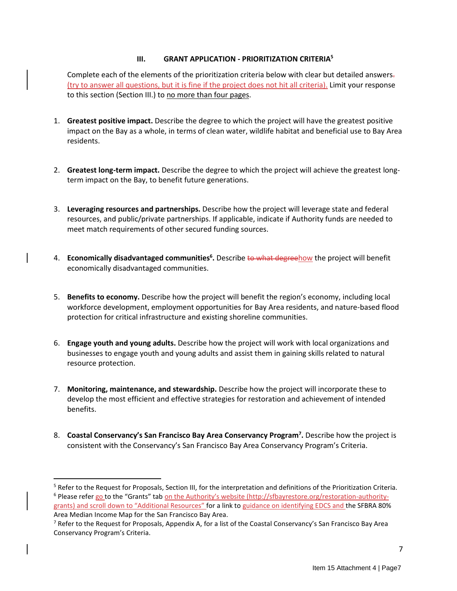## **III. GRANT APPLICATION - PRIORITIZATION CRITERIA<sup>5</sup>**

Complete each of the elements of the prioritization criteria below with clear but detailed answers. (try to answer all questions, but it is fine if the project does not hit all criteria). Limit your response to this section (Section III.) to no more than four pages.

- 1. **Greatest positive impact.** Describe the degree to which the project will have the greatest positive impact on the Bay as a whole, in terms of clean water, wildlife habitat and beneficial use to Bay Area residents.
- 2. **Greatest long-term impact.** Describe the degree to which the project will achieve the greatest longterm impact on the Bay, to benefit future generations.
- 3. **Leveraging resources and partnerships.** Describe how the project will leverage state and federal resources, and public/private partnerships. If applicable, indicate if Authority funds are needed to meet match requirements of other secured funding sources.
- 4. **Economically disadvantaged communities<sup>6</sup> .** Describe to what degreehow the project will benefit economically disadvantaged communities.
- 5. **Benefits to economy.** Describe how the project will benefit the region's economy, including local workforce development, employment opportunities for Bay Area residents, and nature-based flood protection for critical infrastructure and existing shoreline communities.
- 6. **Engage youth and young adults.** Describe how the project will work with local organizations and businesses to engage youth and young adults and assist them in gaining skills related to natural resource protection.
- 7. **Monitoring, maintenance, and stewardship.** Describe how the project will incorporate these to develop the most efficient and effective strategies for restoration and achievement of intended benefits.
- 8. **Coastal Conservancy's San Francisco Bay Area Conservancy Program<sup>7</sup> .** Describe how the project is consistent with the Conservancy's San Francisco Bay Area Conservancy Program's Criteria.

<sup>5</sup> Refer to the Request for Proposals, Section III, for the interpretation and definitions of the Prioritization Criteria. <sup>6</sup> Please refer go to the "Grants" tab on the Authority's website ([http://sfbayrestore.org/restoration-authority](http://sfbayrestore.org/restoration-authority-grants)[grants](http://sfbayrestore.org/restoration-authority-grants)) and scroll down to "Additional Resources" for a link to guidance on identifying EDCS and the SFBRA 80% Area Median Income Map for the San Francisco Bay Area.

<sup>&</sup>lt;sup>7</sup> Refer to the Request for Proposals, Appendix A, for a list of the Coastal Conservancy's San Francisco Bay Area Conservancy Program's Criteria.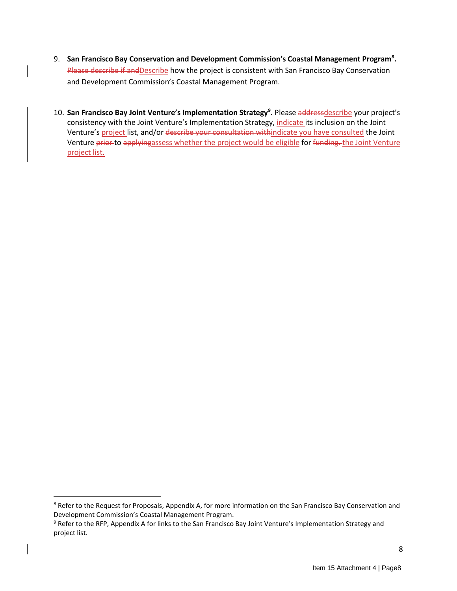- 9. **San Francisco Bay Conservation and Development Commission's Coastal Management Program<sup>8</sup> .**  Please describe if and Describe how the project is consistent with San Francisco Bay Conservation and Development Commission's Coastal Management Program.
- 10. **San Francisco Bay Joint Venture's Implementation Strategy<sup>9</sup> .** Please addressdescribe your project's consistency with the Joint Venture's Implementation Strategy, *indicate its inclusion on the Joint* Venture's project list, and/or describe your consultation withindicate you have consulted the Joint Venture prior to applyingassess whether the project would be eligible for funding. the Joint Venture project list.

<sup>&</sup>lt;sup>8</sup> Refer to the Request for Proposals, Appendix A, for more information on the San Francisco Bay Conservation and Development Commission's Coastal Management Program.

<sup>&</sup>lt;sup>9</sup> Refer to the RFP, Appendix A for links to the San Francisco Bay Joint Venture's Implementation Strategy and project list.